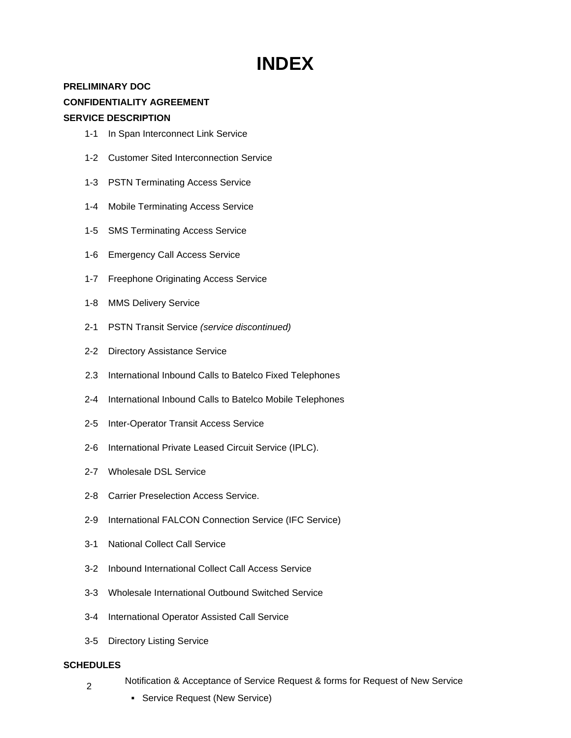## **INDEX**

## **PRELIMINARY DOC CONFIDENTIALITY AGREEMENT**

## **SERVICE DESCRIPTION**

- 1-1 In Span Interconnect Link Service
- 1-2 Customer Sited Interconnection Service
- 1-3 PSTN Terminating Access Service
- 1-4 Mobile Terminating Access Service
- 1-5 SMS Terminating Access Service
- 1-6 Emergency Call Access Service
- 1-7 Freephone Originating Access Service
- 1-8 MMS Delivery Service
- 2-1 PSTN Transit Service *(service discontinued)*
- 2-2 Directory Assistance Service
- 2.3 International Inbound Calls to Batelco Fixed Telephones
- 2-4 International Inbound Calls to Batelco Mobile Telephones
- 2-5 Inter-Operator Transit Access Service
- 2-6 International Private Leased Circuit Service (IPLC).
- 2-7 Wholesale DSL Service
- 2-8 Carrier Preselection Access Service.
- 2-9 International FALCON Connection Service (IFC Service)
- 3-1 National Collect Call Service
- 3-2 Inbound International Collect Call Access Service
- 3-3 Wholesale International Outbound Switched Service
- 3-4 International Operator Assisted Call Service
- 3-5 Directory Listing Service

## **SCHEDULES**

- 2 Notification & Acceptance of Service Request & forms for Request of New Service
	- **Service Request (New Service)**